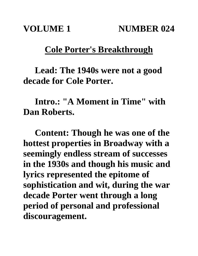**VOLUME 1 NUMBER 024**

## **Cole Porter's Breakthrough**

**Lead: The 1940s were not a good decade for Cole Porter.** 

**Intro.: "A Moment in Time" with Dan Roberts.**

**Content: Though he was one of the hottest properties in Broadway with a seemingly endless stream of successes in the 1930s and though his music and lyrics represented the epitome of sophistication and wit, during the war decade Porter went through a long period of personal and professional discouragement.**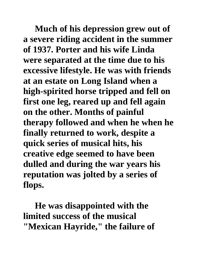**Much of his depression grew out of a severe riding accident in the summer of 1937. Porter and his wife Linda were separated at the time due to his excessive lifestyle. He was with friends at an estate on Long Island when a high-spirited horse tripped and fell on first one leg, reared up and fell again on the other. Months of painful therapy followed and when he when he finally returned to work, despite a quick series of musical hits, his creative edge seemed to have been dulled and during the war years his reputation was jolted by a series of flops.**

**He was disappointed with the limited success of the musical "Mexican Hayride," the failure of**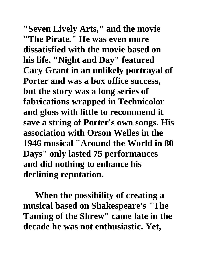**"Seven Lively Arts," and the movie "The Pirate." He was even more dissatisfied with the movie based on his life. "Night and Day" featured Cary Grant in an unlikely portrayal of Porter and was a box office success, but the story was a long series of fabrications wrapped in Technicolor and gloss with little to recommend it save a string of Porter's own songs. His association with Orson Welles in the 1946 musical "Around the World in 80 Days" only lasted 75 performances and did nothing to enhance his declining reputation.**

**When the possibility of creating a musical based on Shakespeare's "The Taming of the Shrew" came late in the decade he was not enthusiastic. Yet,**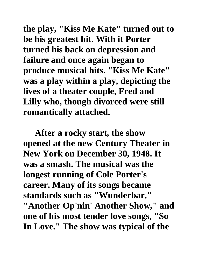**the play, "Kiss Me Kate" turned out to be his greatest hit. With it Porter turned his back on depression and failure and once again began to produce musical hits. "Kiss Me Kate" was a play within a play, depicting the lives of a theater couple, Fred and Lilly who, though divorced were still romantically attached.** 

**After a rocky start, the show opened at the new Century Theater in New York on December 30, 1948. It was a smash. The musical was the longest running of Cole Porter's career. Many of its songs became standards such as "Wunderbar," "Another Op'nin' Another Show," and one of his most tender love songs, "So In Love." The show was typical of the**